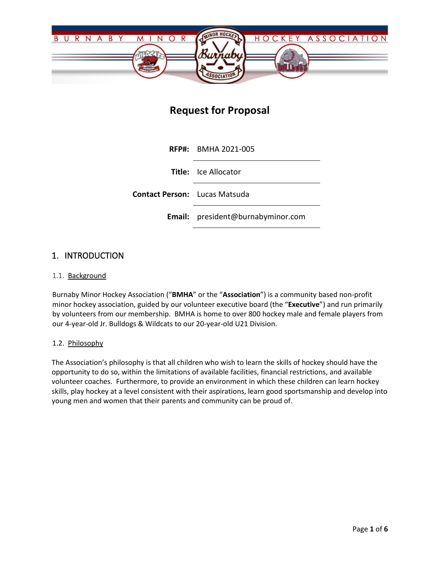

# **Request for Proposal**

**RFP#:** BMHA 2021-005 **Title:** Ice Allocator **Contact Person:** Lucas Matsuda **Email:** president@burnabyminor.com

## 1. INTRODUCTION

### 1.1. Background

Burnaby Minor Hockey Association ("**BMHA**" or the "**Association**") is a community based non-profit minor hockey association, guided by our volunteer executive board (the "**Executive**") and run primarily by volunteers from our membership. BMHA is home to over 800 hockey male and female players from our 4-year-old Jr. Bulldogs & Wildcats to our 20-year-old U21 Division.

#### 1.2. Philosophy

The Association's philosophy is that all children who wish to learn the skills of hockey should have the opportunity to do so, within the limitations of available facilities, financial restrictions, and available volunteer coaches. Furthermore, to provide an environment in which these children can learn hockey skills, play hockey at a level consistent with their aspirations, learn good sportsmanship and develop into young men and women that their parents and community can be proud of.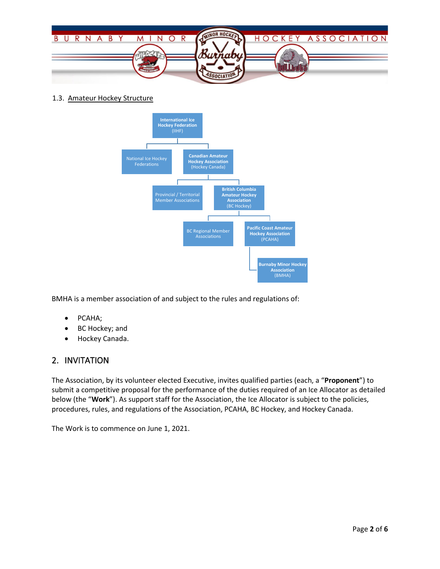

1.3. Amateur Hockey Structure



BMHA is a member association of and subject to the rules and regulations of:

- PCAHA;
- BC Hockey; and
- Hockey Canada.

## 2. INVITATION

The Association, by its volunteer elected Executive, invites qualified parties (each, a "**Proponent**") to submit a competitive proposal for the performance of the duties required of an Ice Allocator as detailed below (the "**Work**"). As support staff for the Association, the Ice Allocator is subject to the policies, procedures, rules, and regulations of the Association, PCAHA, BC Hockey, and Hockey Canada.

The Work is to commence on June 1, 2021.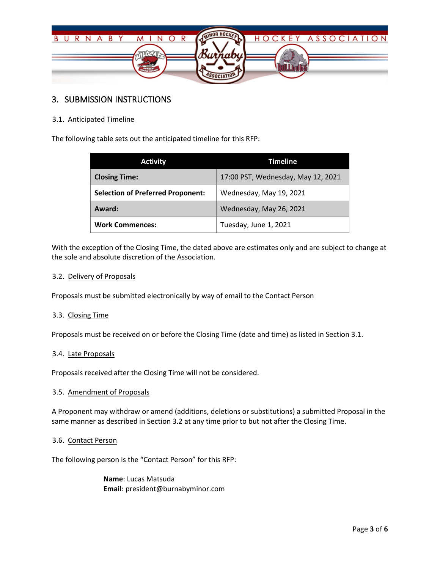

## 3. SUBMISSION INSTRUCTIONS

## 3.1. Anticipated Timeline

The following table sets out the anticipated timeline for this RFP:

| <b>Activity</b>                          | <b>Timeline</b>                    |
|------------------------------------------|------------------------------------|
| <b>Closing Time:</b>                     | 17:00 PST, Wednesday, May 12, 2021 |
| <b>Selection of Preferred Proponent:</b> | Wednesday, May 19, 2021            |
| Award:                                   | Wednesday, May 26, 2021            |
| <b>Work Commences:</b>                   | Tuesday, June 1, 2021              |

With the exception of the Closing Time, the dated above are estimates only and are subject to change at the sole and absolute discretion of the Association.

### 3.2. Delivery of Proposals

Proposals must be submitted electronically by way of email to the Contact Person

### 3.3. Closing Time

Proposals must be received on or before the Closing Time (date and time) as listed in Section 3.1.

### 3.4. Late Proposals

Proposals received after the Closing Time will not be considered.

#### 3.5. Amendment of Proposals

A Proponent may withdraw or amend (additions, deletions or substitutions) a submitted Proposal in the same manner as described in Section 3.2 at any time prior to but not after the Closing Time.

#### 3.6. Contact Person

The following person is the "Contact Person" for this RFP:

**Name**: Lucas Matsuda **Email**: president@burnabyminor.com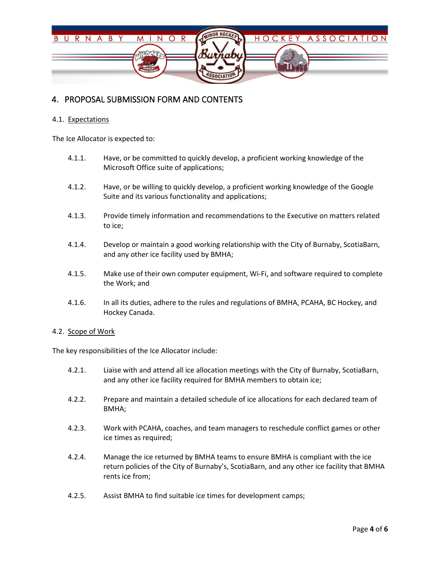

## 4. PROPOSAL SUBMISSION FORM AND CONTENTS

### 4.1. Expectations

The Ice Allocator is expected to:

- 4.1.1. Have, or be committed to quickly develop, a proficient working knowledge of the Microsoft Office suite of applications;
- 4.1.2. Have, or be willing to quickly develop, a proficient working knowledge of the Google Suite and its various functionality and applications;
- 4.1.3. Provide timely information and recommendations to the Executive on matters related to ice;
- 4.1.4. Develop or maintain a good working relationship with the City of Burnaby, ScotiaBarn, and any other ice facility used by BMHA;
- 4.1.5. Make use of their own computer equipment, Wi-Fi, and software required to complete the Work; and
- 4.1.6. In all its duties, adhere to the rules and regulations of BMHA, PCAHA, BC Hockey, and Hockey Canada.

#### 4.2. Scope of Work

The key responsibilities of the Ice Allocator include:

- 4.2.1. Liaise with and attend all ice allocation meetings with the City of Burnaby, ScotiaBarn, and any other ice facility required for BMHA members to obtain ice;
- 4.2.2. Prepare and maintain a detailed schedule of ice allocations for each declared team of BMHA;
- 4.2.3. Work with PCAHA, coaches, and team managers to reschedule conflict games or other ice times as required;
- 4.2.4. Manage the ice returned by BMHA teams to ensure BMHA is compliant with the ice return policies of the City of Burnaby's, ScotiaBarn, and any other ice facility that BMHA rents ice from;
- 4.2.5. Assist BMHA to find suitable ice times for development camps;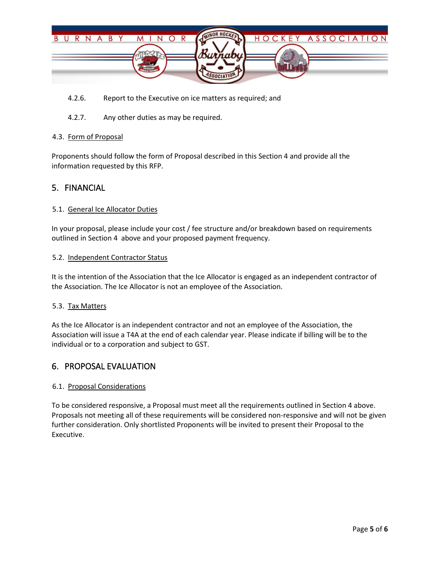

- 4.2.6. Report to the Executive on ice matters as required; and
- 4.2.7. Any other duties as may be required.

#### 4.3. Form of Proposal

Proponents should follow the form of Proposal described in this Section 4 and provide all the information requested by this RFP.

## 5. FINANCIAL

#### 5.1. General Ice Allocator Duties

In your proposal, please include your cost / fee structure and/or breakdown based on requirements outlined in Section 4 above and your proposed payment frequency.

#### 5.2. Independent Contractor Status

It is the intention of the Association that the Ice Allocator is engaged as an independent contractor of the Association. The Ice Allocator is not an employee of the Association.

#### 5.3. Tax Matters

As the Ice Allocator is an independent contractor and not an employee of the Association, the Association will issue a T4A at the end of each calendar year. Please indicate if billing will be to the individual or to a corporation and subject to GST.

## 6. PROPOSAL EVALUATION

#### 6.1. Proposal Considerations

To be considered responsive, a Proposal must meet all the requirements outlined in Section 4 above. Proposals not meeting all of these requirements will be considered non-responsive and will not be given further consideration. Only shortlisted Proponents will be invited to present their Proposal to the Executive.